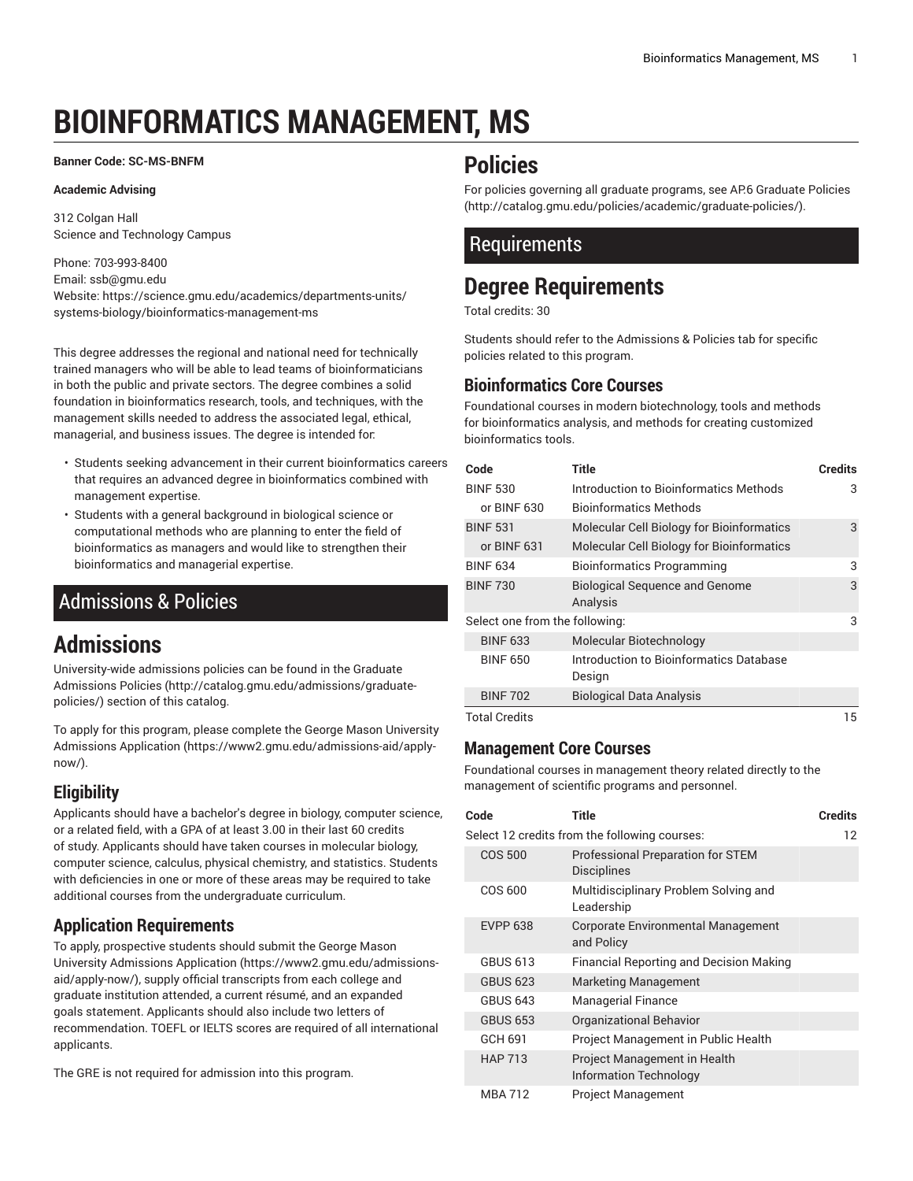# **BIOINFORMATICS MANAGEMENT, MS**

#### **Banner Code: SC-MS-BNFM**

#### **Academic Advising**

312 Colgan Hall Science and Technology Campus

Phone: 703-993-8400 Email: [ssb@gmu.edu](mailto:ssb@gmu.edu) Website: https://science.gmu.edu/academics/departments-units/ systems-biology/bioinformatics-management-ms

This degree addresses the regional and national need for technically trained managers who will be able to lead teams of bioinformaticians in both the public and private sectors. The degree combines a solid foundation in bioinformatics research, tools, and techniques, with the management skills needed to address the associated legal, ethical, managerial, and business issues. The degree is intended for:

- Students seeking advancement in their current bioinformatics careers that requires an advanced degree in bioinformatics combined with management expertise.
- Students with a general background in biological science or computational methods who are planning to enter the field of bioinformatics as managers and would like to strengthen their bioinformatics and managerial expertise.

## <span id="page-0-0"></span>Admissions & Policies

## **Admissions**

University-wide admissions policies can be found in the [Graduate](http://catalog.gmu.edu/admissions/graduate-policies/) [Admissions](http://catalog.gmu.edu/admissions/graduate-policies/) Policies [\(http://catalog.gmu.edu/admissions/graduate](http://catalog.gmu.edu/admissions/graduate-policies/)[policies/](http://catalog.gmu.edu/admissions/graduate-policies/)) section of this catalog.

To apply for this program, please complete the George Mason [University](https://www2.gmu.edu/admissions-aid/apply-now/) [Admissions Application](https://www2.gmu.edu/admissions-aid/apply-now/) ([https://www2.gmu.edu/admissions-aid/apply](https://www2.gmu.edu/admissions-aid/apply-now/)[now/](https://www2.gmu.edu/admissions-aid/apply-now/)).

### **Eligibility**

Applicants should have a bachelor's degree in biology, computer science, or a related field, with a GPA of at least 3.00 in their last 60 credits of study. Applicants should have taken courses in molecular biology, computer science, calculus, physical chemistry, and statistics. Students with deficiencies in one or more of these areas may be required to take additional courses from the undergraduate curriculum.

#### **Application Requirements**

To apply, prospective students should submit the [George](https://www2.gmu.edu/admissions-aid/apply-now/) Mason University [Admissions](https://www2.gmu.edu/admissions-aid/apply-now/) Application ([https://www2.gmu.edu/admissions](https://www2.gmu.edu/admissions-aid/apply-now/)[aid/apply-now/](https://www2.gmu.edu/admissions-aid/apply-now/)), supply official transcripts from each college and graduate institution attended, a current résumé, and an expanded goals statement. Applicants should also include two letters of recommendation. TOEFL or IELTS scores are required of all international applicants.

The GRE is not required for admission into this program.

## **Policies**

For policies governing all graduate programs, see AP.6 [Graduate](http://catalog.gmu.edu/policies/academic/graduate-policies/) Policies [\(http://catalog.gmu.edu/policies/academic/graduate-policies/\)](http://catalog.gmu.edu/policies/academic/graduate-policies/).

### **Requirements**

# **Degree Requirements**

Total credits: 30

Students should refer to the [Admissions](#page-0-0) & Policies tab for specific policies related to this program.

#### **Bioinformatics Core Courses**

Foundational courses in modern biotechnology, tools and methods for bioinformatics analysis, and methods for creating customized bioinformatics tools.

| Code                           | Title                                     | <b>Credits</b> |
|--------------------------------|-------------------------------------------|----------------|
| <b>BINF 530</b>                | Introduction to Bioinformatics Methods    | 3              |
| or BINF 630                    | <b>Bioinformatics Methods</b>             |                |
| <b>BINF 531</b>                | Molecular Cell Biology for Bioinformatics | 3              |
| or BINF 631                    | Molecular Cell Biology for Bioinformatics |                |
| <b>BINF 634</b>                | <b>Bioinformatics Programming</b>         | 3              |
| <b>BINF 730</b>                | <b>Biological Sequence and Genome</b>     | 3              |
|                                | Analysis                                  |                |
| Select one from the following: |                                           | 3              |
| <b>BINF 633</b>                | Molecular Biotechnology                   |                |
| <b>BINF 650</b>                | Introduction to Bioinformatics Database   |                |
|                                | Design                                    |                |
| <b>BINF 702</b>                | <b>Biological Data Analysis</b>           |                |
| <b>Total Credits</b>           |                                           | 15             |

#### **Management Core Courses**

Foundational courses in management theory related directly to the management of scientific programs and personnel.

| Code            | Title                                                         | <b>Credits</b> |
|-----------------|---------------------------------------------------------------|----------------|
|                 | Select 12 credits from the following courses:                 | 12             |
| COS 500         | Professional Preparation for STEM<br><b>Disciplines</b>       |                |
| <b>COS 600</b>  | Multidisciplinary Problem Solving and<br>Leadership           |                |
| <b>EVPP 638</b> | <b>Corporate Environmental Management</b><br>and Policy       |                |
| GBUS 613        | <b>Financial Reporting and Decision Making</b>                |                |
| <b>GBUS 623</b> | <b>Marketing Management</b>                                   |                |
| <b>GBUS 643</b> | <b>Managerial Finance</b>                                     |                |
| <b>GBUS 653</b> | <b>Organizational Behavior</b>                                |                |
| GCH 691         | Project Management in Public Health                           |                |
| <b>HAP 713</b>  | Project Management in Health<br><b>Information Technology</b> |                |
| MBA 712         | Project Management                                            |                |